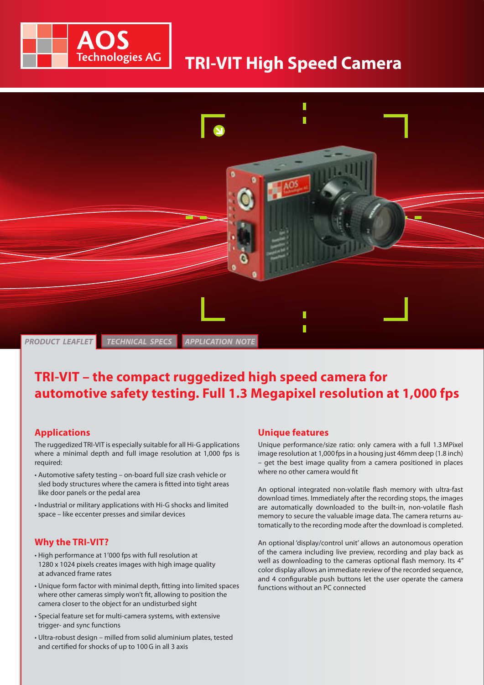

# **Imaging** for smart decisions **TRI-VIT High Speed Camera**



## **TRI-VIT – the compact ruggedized high speed camera for automotive safety testing. Full 1.3 Megapixel resolution at 1,000 fps**

#### **Applications**

The ruggedized TRI-VIT is especially suitable for all Hi-G applications where a minimal depth and full image resolution at 1,000 fps is required:

- Automotive safety testing on-board full size crash vehicle or sled body structures where the camera is fitted into tight areas like door panels or the pedal area
- Industrial or military applications with Hi-G shocks and limited space – like eccenter presses and similar devices

### **Why the TRI-VIT?**

- High performance at 1'000 fps with full resolution at 1280 x 1024 pixels creates images with high image quality at advanced frame rates
- Unique form factor with minimal depth, fitting into limited spaces where other cameras simply won't fit, allowing to position the camera closer to the object for an undisturbed sight
- Special feature set for multi-camera systems, with extensive trigger- and sync functions
- Ultra-robust design milled from solid aluminium plates, tested and certified for shocks of up to 100G in all 3 axis

#### **Unique features**

Unique performance/size ratio: only camera with a full 1.3MPixel image resolution at 1,000 fps in a housing just 46mm deep (1.8 inch) – get the best image quality from a camera positioned in places where no other camera would fit

An optional integrated non-volatile flash memory with ultra-fast download times. Immediately after the recording stops, the images are automatically downloaded to the built-in, non-volatile flash memory to secure the valuable image data. The camera returns automatically to the recording mode after the download is completed.

An optional 'display/control unit' allows an autonomous operation of the camera including live preview, recording and play back as well as downloading to the cameras optional flash memory. Its 4" color display allows an immediate review of the recorded sequence, and 4 configurable push buttons let the user operate the camera functions without an PC connected